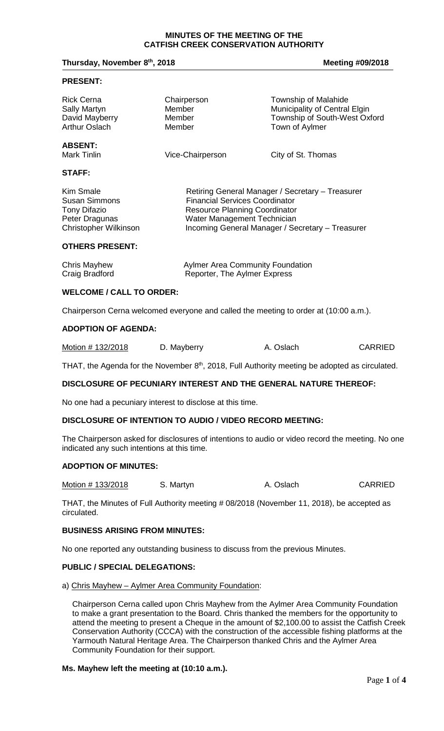#### **MINUTES OF THE MEETING OF THE CATFISH CREEK CONSERVATION AUTHORITY**

## **Thursday, November 8<sup>th</sup>, 2018 Meeting #09/2018 Meeting #09/2018**

#### **PRESENT:**

| <b>Rick Cerna</b>                    | Chairperson                                      | <b>Township of Malahide</b>   |
|--------------------------------------|--------------------------------------------------|-------------------------------|
| <b>Sally Martyn</b>                  | Member                                           | Municipality of Central Elgin |
| David Mayberry                       | Member                                           | Township of South-West Oxford |
| <b>Arthur Oslach</b>                 | Member                                           | Town of Aylmer                |
| <b>ABSENT:</b><br><b>Mark Tinlin</b> | Vice-Chairperson                                 | City of St. Thomas            |
| <b>STAFF:</b>                        |                                                  |                               |
| Kim Smale                            | Retiring General Manager / Secretary - Treasurer |                               |
| <b>Susan Simmons</b>                 | <b>Financial Services Coordinator</b>            |                               |
| <b>Tony Difazio</b>                  | <b>Resource Planning Coordinator</b>             |                               |
| Peter Dragunas                       | Water Management Technician                      |                               |
| <b>Christopher Wilkinson</b>         | Incoming General Manager / Secretary - Treasurer |                               |

## **OTHERS PRESENT:**

| Chris Mayhew   | <b>Aylmer Area Community Foundation</b> |
|----------------|-----------------------------------------|
| Craig Bradford | Reporter, The Aylmer Express            |

## **WELCOME / CALL TO ORDER:**

Chairperson Cerna welcomed everyone and called the meeting to order at (10:00 a.m.).

## **ADOPTION OF AGENDA:**

| Motion #132/2018 | D. Mayberry | A. Oslach | <b>CARRIED</b> |
|------------------|-------------|-----------|----------------|
|------------------|-------------|-----------|----------------|

THAT, the Agenda for the November  $8<sup>th</sup>$ , 2018, Full Authority meeting be adopted as circulated.

## **DISCLOSURE OF PECUNIARY INTEREST AND THE GENERAL NATURE THEREOF:**

No one had a pecuniary interest to disclose at this time.

## **DISCLOSURE OF INTENTION TO AUDIO / VIDEO RECORD MEETING:**

The Chairperson asked for disclosures of intentions to audio or video record the meeting. No one indicated any such intentions at this time.

#### **ADOPTION OF MINUTES:**

Motion # 133/2018 S. Martyn A. Oslach CARRIED

THAT, the Minutes of Full Authority meeting # 08/2018 (November 11, 2018), be accepted as circulated.

# **BUSINESS ARISING FROM MINUTES:**

No one reported any outstanding business to discuss from the previous Minutes.

# **PUBLIC / SPECIAL DELEGATIONS:**

a) Chris Mayhew – Aylmer Area Community Foundation:

Chairperson Cerna called upon Chris Mayhew from the Aylmer Area Community Foundation to make a grant presentation to the Board. Chris thanked the members for the opportunity to attend the meeting to present a Cheque in the amount of \$2,100.00 to assist the Catfish Creek Conservation Authority (CCCA) with the construction of the accessible fishing platforms at the Yarmouth Natural Heritage Area. The Chairperson thanked Chris and the Aylmer Area Community Foundation for their support.

## **Ms. Mayhew left the meeting at (10:10 a.m.).**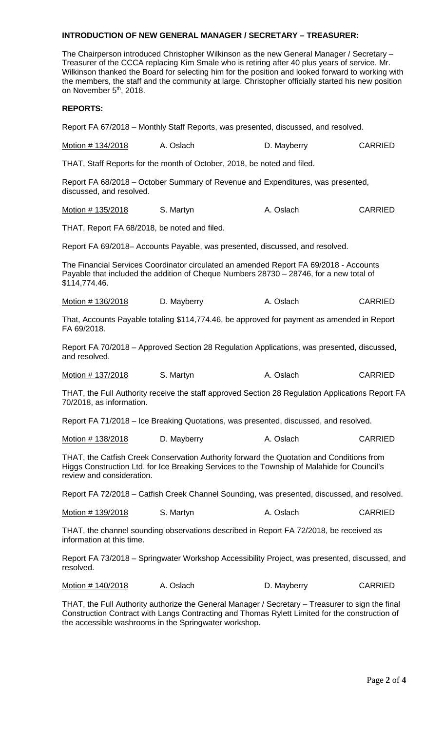## **INTRODUCTION OF NEW GENERAL MANAGER / SECRETARY – TREASURER:**

The Chairperson introduced Christopher Wilkinson as the new General Manager / Secretary – Treasurer of the CCCA replacing Kim Smale who is retiring after 40 plus years of service. Mr. Wilkinson thanked the Board for selecting him for the position and looked forward to working with the members, the staff and the community at large. Christopher officially started his new position on November 5<sup>th</sup>, 2018.

## **REPORTS:**

Report FA 67/2018 – Monthly Staff Reports, was presented, discussed, and resolved.

| Motion # 134/2018 | A. Oslach | D. Mayberry | <b>CARRIED</b> |
|-------------------|-----------|-------------|----------------|
|-------------------|-----------|-------------|----------------|

THAT, Staff Reports for the month of October, 2018, be noted and filed.

Report FA 68/2018 – October Summary of Revenue and Expenditures, was presented, discussed, and resolved.

| Motion # 135/2018 | S. Martyn | A. Oslach | <b>CARRIED</b> |
|-------------------|-----------|-----------|----------------|
|-------------------|-----------|-----------|----------------|

THAT, Report FA 68/2018, be noted and filed.

Report FA 69/2018– Accounts Payable, was presented, discussed, and resolved.

The Financial Services Coordinator circulated an amended Report FA 69/2018 - Accounts Payable that included the addition of Cheque Numbers 28730 – 28746, for a new total of \$114,774.46.

Motion # 136/2018 D. Mayberry A. Oslach CARRIED

That, Accounts Payable totaling \$114,774.46, be approved for payment as amended in Report FA 69/2018.

Report FA 70/2018 – Approved Section 28 Regulation Applications, was presented, discussed, and resolved.

|  | Motion # 137/2018 | S. Martyn | A. Oslach | <b>CARRIED</b> |
|--|-------------------|-----------|-----------|----------------|
|--|-------------------|-----------|-----------|----------------|

THAT, the Full Authority receive the staff approved Section 28 Regulation Applications Report FA 70/2018, as information.

Report FA 71/2018 – Ice Breaking Quotations, was presented, discussed, and resolved.

Motion # 138/2018 D. Mayberry A. Oslach CARRIED

THAT, the Catfish Creek Conservation Authority forward the Quotation and Conditions from Higgs Construction Ltd. for Ice Breaking Services to the Township of Malahide for Council's review and consideration.

Report FA 72/2018 – Catfish Creek Channel Sounding, was presented, discussed, and resolved.

| Motion # 139/2018 | S. Martyn | A. Oslach | <b>CARRIED</b> |
|-------------------|-----------|-----------|----------------|
|-------------------|-----------|-----------|----------------|

THAT, the channel sounding observations described in Report FA 72/2018, be received as information at this time.

Report FA 73/2018 – Springwater Workshop Accessibility Project, was presented, discussed, and resolved.

Motion # 140/2018 A. Oslach D. Mayberry CARRIED

THAT, the Full Authority authorize the General Manager / Secretary – Treasurer to sign the final Construction Contract with Langs Contracting and Thomas Rylett Limited for the construction of the accessible washrooms in the Springwater workshop.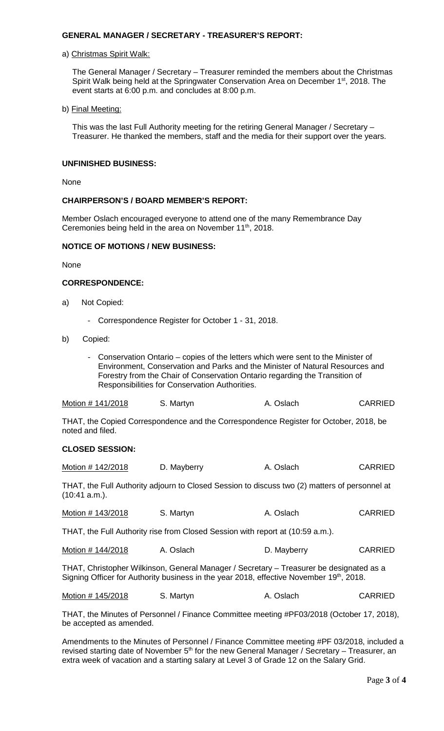## **GENERAL MANAGER / SECRETARY - TREASURER'S REPORT:**

#### a) Christmas Spirit Walk:

The General Manager / Secretary – Treasurer reminded the members about the Christmas Spirit Walk being held at the Springwater Conservation Area on December 1<sup>st</sup>, 2018. The event starts at 6:00 p.m. and concludes at 8:00 p.m.

#### b) Final Meeting:

This was the last Full Authority meeting for the retiring General Manager / Secretary – Treasurer. He thanked the members, staff and the media for their support over the years.

## **UNFINISHED BUSINESS:**

None

## **CHAIRPERSON'S / BOARD MEMBER'S REPORT:**

Member Oslach encouraged everyone to attend one of the many Remembrance Day Ceremonies being held in the area on November 11<sup>th</sup>, 2018.

## **NOTICE OF MOTIONS / NEW BUSINESS:**

None

## **CORRESPONDENCE:**

- a) Not Copied:
	- Correspondence Register for October 1 31, 2018.
- b) Copied:
	- Conservation Ontario copies of the letters which were sent to the Minister of Environment, Conservation and Parks and the Minister of Natural Resources and Forestry from the Chair of Conservation Ontario regarding the Transition of Responsibilities for Conservation Authorities.

| Motion # 141/2018 | S. Martyn | A. Oslach | <b>CARRIED</b> |
|-------------------|-----------|-----------|----------------|
|-------------------|-----------|-----------|----------------|

THAT, the Copied Correspondence and the Correspondence Register for October, 2018, be noted and filed.

## **CLOSED SESSION:**

| Motion # 142/2018 | D. Mayberry | A. Oslach | <b>CARRIED</b> |
|-------------------|-------------|-----------|----------------|
|-------------------|-------------|-----------|----------------|

THAT, the Full Authority adjourn to Closed Session to discuss two (2) matters of personnel at (10:41 a.m.).

| Motion # 143/2018 | S. Martyn | A. Oslach | <b>CARRIED</b> |
|-------------------|-----------|-----------|----------------|
|                   |           |           |                |

THAT, the Full Authority rise from Closed Session with report at (10:59 a.m.).

Motion # 144/2018 A. Oslach D. Mayberry CARRIED

THAT, Christopher Wilkinson, General Manager / Secretary – Treasurer be designated as a Signing Officer for Authority business in the year 2018, effective November 19th, 2018.

| Motion # 145/2018 | S. Martyn | A. Oslach | <b>CARRIED</b> |
|-------------------|-----------|-----------|----------------|
|-------------------|-----------|-----------|----------------|

THAT, the Minutes of Personnel / Finance Committee meeting #PF03/2018 (October 17, 2018), be accepted as amended.

Amendments to the Minutes of Personnel / Finance Committee meeting #PF 03/2018, included a revised starting date of November  $5<sup>th</sup>$  for the new General Manager / Secretary – Treasurer, an extra week of vacation and a starting salary at Level 3 of Grade 12 on the Salary Grid.